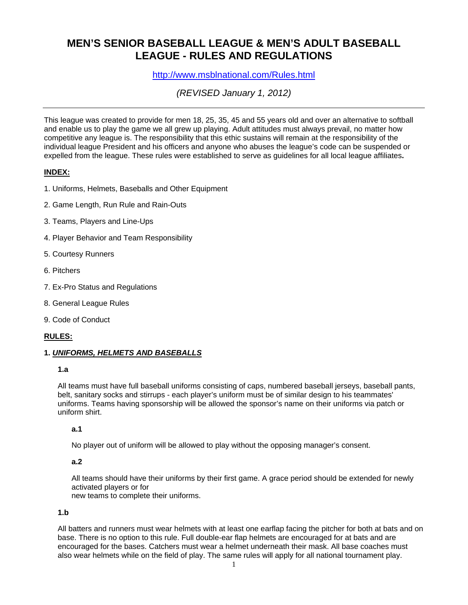# **MEN'S SENIOR BASEBALL LEAGUE & MEN'S ADULT BASEBALL LEAGUE - RULES AND REGULATIONS**

http://www.msblnational.com/Rules.html

*(REVISED January 1, 2012)*

This league was created to provide for men 18, 25, 35, 45 and 55 years old and over an alternative to softball and enable us to play the game we all grew up playing. Adult attitudes must always prevail, no matter how competitive any league is. The responsibility that this ethic sustains will remain at the responsibility of the individual league President and his officers and anyone who abuses the league's code can be suspended or expelled from the league. These rules were established to serve as guidelines for all local league affiliates**.** 

### **INDEX:**

- 1. Uniforms, Helmets, Baseballs and Other Equipment
- 2. Game Length, Run Rule and Rain-Outs
- 3. Teams, Players and Line-Ups
- 4. Player Behavior and Team Responsibility
- 5. Courtesy Runners
- 6. Pitchers
- 7. Ex-Pro Status and Regulations
- 8. General League Rules
- 9. Code of Conduct

### **RULES:**

### **1.** *UNIFORMS, HELMETS AND BASEBALLS*

#### **1.a**

All teams must have full baseball uniforms consisting of caps, numbered baseball jerseys, baseball pants, belt, sanitary socks and stirrups - each player's uniform must be of similar design to his teammates' uniforms. Teams having sponsorship will be allowed the sponsor's name on their uniforms via patch or uniform shirt.

### **a.1**

No player out of uniform will be allowed to play without the opposing manager's consent.

#### **a.2**

All teams should have their uniforms by their first game. A grace period should be extended for newly activated players or for

new teams to complete their uniforms.

#### **1.b**

All batters and runners must wear helmets with at least one earflap facing the pitcher for both at bats and on base. There is no option to this rule. Full double-ear flap helmets are encouraged for at bats and are encouraged for the bases. Catchers must wear a helmet underneath their mask. All base coaches must also wear helmets while on the field of play. The same rules will apply for all national tournament play.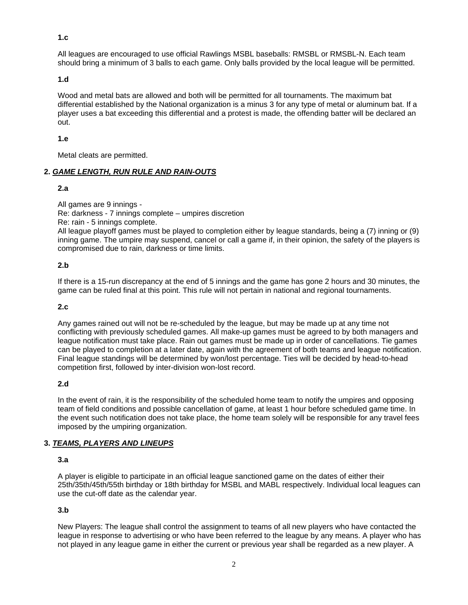**1.c**

All leagues are encouraged to use official Rawlings MSBL baseballs: RMSBL or RMSBL-N. Each team should bring a minimum of 3 balls to each game. Only balls provided by the local league will be permitted.

**1.d**

Wood and metal bats are allowed and both will be permitted for all tournaments. The maximum bat differential established by the National organization is a minus 3 for any type of metal or aluminum bat. If a player uses a bat exceeding this differential and a protest is made, the offending batter will be declared an out.

**1.e**

Metal cleats are permitted.

#### **2.** *GAME LENGTH, RUN RULE AND RAIN-OUTS*

**2.a**

All games are 9 innings - Re: darkness - 7 innings complete – umpires discretion Re: rain - 5 innings complete.

All league playoff games must be played to completion either by league standards, being a (7) inning or (9) inning game. The umpire may suspend, cancel or call a game if, in their opinion, the safety of the players is compromised due to rain, darkness or time limits.

### **2.b**

If there is a 15-run discrepancy at the end of 5 innings and the game has gone 2 hours and 30 minutes, the game can be ruled final at this point. This rule will not pertain in national and regional tournaments.

### **2.c**

Any games rained out will not be re-scheduled by the league, but may be made up at any time not conflicting with previously scheduled games. All make-up games must be agreed to by both managers and league notification must take place. Rain out games must be made up in order of cancellations. Tie games can be played to completion at a later date, again with the agreement of both teams and league notification. Final league standings will be determined by won/lost percentage. Ties will be decided by head-to-head competition first, followed by inter-division won-lost record.

#### **2.d**

In the event of rain, it is the responsibility of the scheduled home team to notify the umpires and opposing team of field conditions and possible cancellation of game, at least 1 hour before scheduled game time. In the event such notification does not take place, the home team solely will be responsible for any travel fees imposed by the umpiring organization.

### **3.** *TEAMS, PLAYERS AND LINEUPS*

#### **3.a**

A player is eligible to participate in an official league sanctioned game on the dates of either their 25th/35th/45th/55th birthday or 18th birthday for MSBL and MABL respectively. Individual local leagues can use the cut-off date as the calendar year.

### **3.b**

New Players: The league shall control the assignment to teams of all new players who have contacted the league in response to advertising or who have been referred to the league by any means. A player who has not played in any league game in either the current or previous year shall be regarded as a new player. A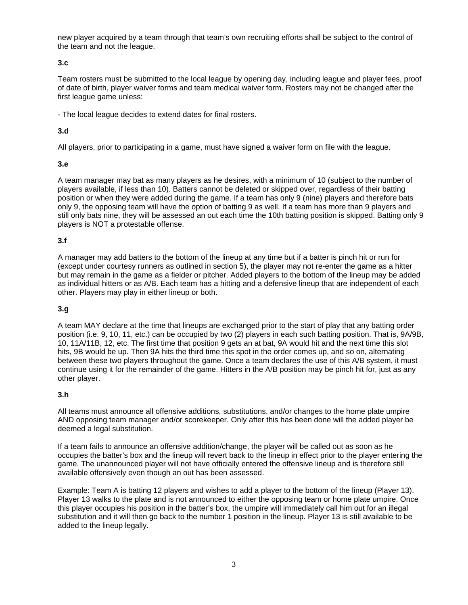new player acquired by a team through that team's own recruiting efforts shall be subject to the control of the team and not the league.

### **3.c**

Team rosters must be submitted to the local league by opening day, including league and player fees, proof of date of birth, player waiver forms and team medical waiver form. Rosters may not be changed after the first league game unless:

- The local league decides to extend dates for final rosters.

## **3.d**

All players, prior to participating in a game, must have signed a waiver form on file with the league.

### **3.e**

A team manager may bat as many players as he desires, with a minimum of 10 (subject to the number of players available, if less than 10). Batters cannot be deleted or skipped over, regardless of their batting position or when they were added during the game. If a team has only 9 (nine) players and therefore bats only 9, the opposing team will have the option of batting 9 as well. If a team has more than 9 players and still only bats nine, they will be assessed an out each time the 10th batting position is skipped. Batting only 9 players is NOT a protestable offense.

### **3.f**

A manager may add batters to the bottom of the lineup at any time but if a batter is pinch hit or run for (except under courtesy runners as outlined in section 5), the player may not re-enter the game as a hitter but may remain in the game as a fielder or pitcher. Added players to the bottom of the lineup may be added as individual hitters or as A/B. Each team has a hitting and a defensive lineup that are independent of each other. Players may play in either lineup or both.

### **3.g**

A team MAY declare at the time that lineups are exchanged prior to the start of play that any batting order position (i.e. 9, 10, 11, etc.) can be occupied by two (2) players in each such batting position. That is, 9A/9B, 10, 11A/11B, 12, etc. The first time that position 9 gets an at bat, 9A would hit and the next time this slot hits, 9B would be up. Then 9A hits the third time this spot in the order comes up, and so on, alternating between these two players throughout the game. Once a team declares the use of this A/B system, it must continue using it for the remainder of the game. Hitters in the A/B position may be pinch hit for, just as any other player.

### **3.h**

All teams must announce all offensive additions, substitutions, and/or changes to the home plate umpire AND opposing team manager and/or scorekeeper. Only after this has been done will the added player be deemed a legal substitution.

If a team fails to announce an offensive addition/change, the player will be called out as soon as he occupies the batter's box and the lineup will revert back to the lineup in effect prior to the player entering the game. The unannounced player will not have officially entered the offensive lineup and is therefore still available offensively even though an out has been assessed.

Example: Team A is batting 12 players and wishes to add a player to the bottom of the lineup (Player 13). Player 13 walks to the plate and is not announced to either the opposing team or home plate umpire. Once this player occupies his position in the batter's box, the umpire will immediately call him out for an illegal substitution and it will then go back to the number 1 position in the lineup. Player 13 is still available to be added to the lineup legally.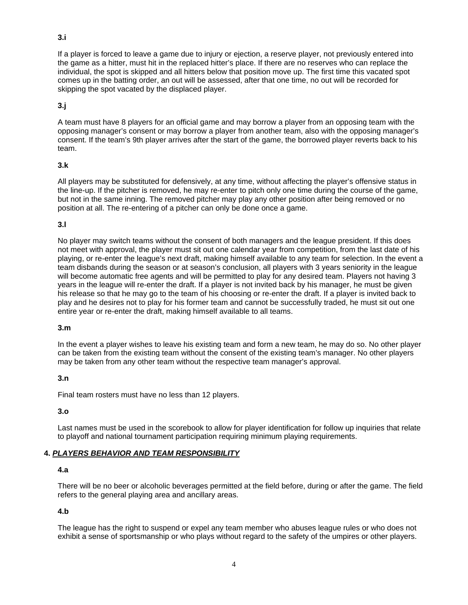### **3.i**

If a player is forced to leave a game due to injury or ejection, a reserve player, not previously entered into the game as a hitter, must hit in the replaced hitter's place. If there are no reserves who can replace the individual, the spot is skipped and all hitters below that position move up. The first time this vacated spot comes up in the batting order, an out will be assessed, after that one time, no out will be recorded for skipping the spot vacated by the displaced player.

# **3.j**

A team must have 8 players for an official game and may borrow a player from an opposing team with the opposing manager's consent or may borrow a player from another team, also with the opposing manager's consent. If the team's 9th player arrives after the start of the game, the borrowed player reverts back to his team.

### **3.k**

All players may be substituted for defensively, at any time, without affecting the player's offensive status in the line-up. If the pitcher is removed, he may re-enter to pitch only one time during the course of the game, but not in the same inning. The removed pitcher may play any other position after being removed or no position at all. The re-entering of a pitcher can only be done once a game.

### **3.l**

No player may switch teams without the consent of both managers and the league president. If this does not meet with approval, the player must sit out one calendar year from competition, from the last date of his playing, or re-enter the league's next draft, making himself available to any team for selection. In the event a team disbands during the season or at season's conclusion, all players with 3 years seniority in the league will become automatic free agents and will be permitted to play for any desired team. Players not having 3 years in the league will re-enter the draft. If a player is not invited back by his manager, he must be given his release so that he may go to the team of his choosing or re-enter the draft. If a player is invited back to play and he desires not to play for his former team and cannot be successfully traded, he must sit out one entire year or re-enter the draft, making himself available to all teams.

### **3.m**

In the event a player wishes to leave his existing team and form a new team, he may do so. No other player can be taken from the existing team without the consent of the existing team's manager. No other players may be taken from any other team without the respective team manager's approval.

### **3.n**

Final team rosters must have no less than 12 players.

#### **3.o**

Last names must be used in the scorebook to allow for player identification for follow up inquiries that relate to playoff and national tournament participation requiring minimum playing requirements.

### **4.** *PLAYERS BEHAVIOR AND TEAM RESPONSIBILITY*

#### **4.a**

There will be no beer or alcoholic beverages permitted at the field before, during or after the game. The field refers to the general playing area and ancillary areas.

#### **4.b**

The league has the right to suspend or expel any team member who abuses league rules or who does not exhibit a sense of sportsmanship or who plays without regard to the safety of the umpires or other players.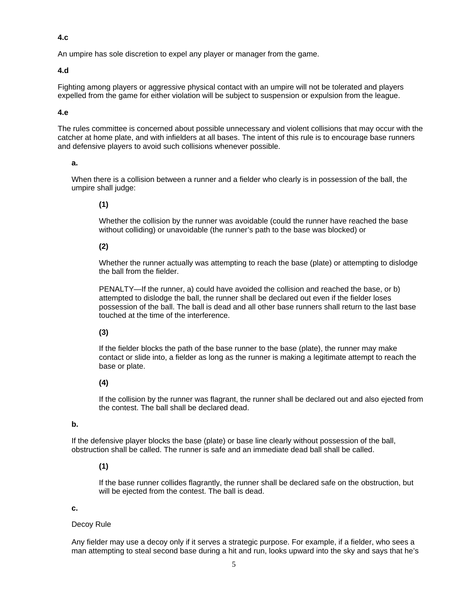**4.c**

An umpire has sole discretion to expel any player or manager from the game.

#### **4.d**

Fighting among players or aggressive physical contact with an umpire will not be tolerated and players expelled from the game for either violation will be subject to suspension or expulsion from the league.

#### **4.e**

The rules committee is concerned about possible unnecessary and violent collisions that may occur with the catcher at home plate, and with infielders at all bases. The intent of this rule is to encourage base runners and defensive players to avoid such collisions whenever possible.

#### **a.**

When there is a collision between a runner and a fielder who clearly is in possession of the ball, the umpire shall judge:

### **(1)**

Whether the collision by the runner was avoidable (could the runner have reached the base without colliding) or unavoidable (the runner's path to the base was blocked) or

### **(2)**

Whether the runner actually was attempting to reach the base (plate) or attempting to dislodge the ball from the fielder.

PENALTY—If the runner, a) could have avoided the collision and reached the base, or b) attempted to dislodge the ball, the runner shall be declared out even if the fielder loses possession of the ball. The ball is dead and all other base runners shall return to the last base touched at the time of the interference.

### **(3)**

If the fielder blocks the path of the base runner to the base (plate), the runner may make contact or slide into, a fielder as long as the runner is making a legitimate attempt to reach the base or plate.

#### **(4)**

If the collision by the runner was flagrant, the runner shall be declared out and also ejected from the contest. The ball shall be declared dead.

#### **b.**

If the defensive player blocks the base (plate) or base line clearly without possession of the ball, obstruction shall be called. The runner is safe and an immediate dead ball shall be called.

### **(1)**

If the base runner collides flagrantly, the runner shall be declared safe on the obstruction, but will be ejected from the contest. The ball is dead.

#### **c.**

#### Decoy Rule

Any fielder may use a decoy only if it serves a strategic purpose. For example, if a fielder, who sees a man attempting to steal second base during a hit and run, looks upward into the sky and says that he's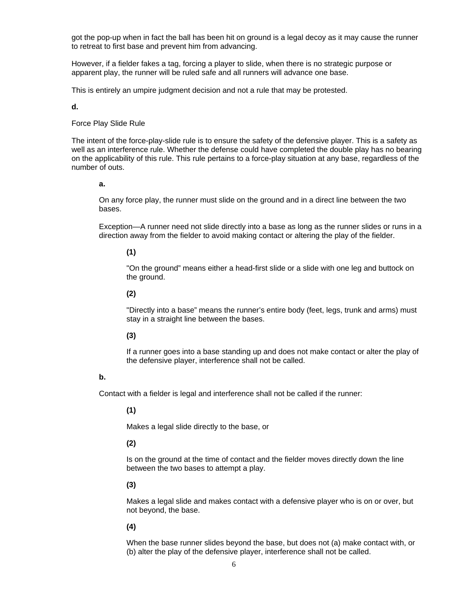got the pop-up when in fact the ball has been hit on ground is a legal decoy as it may cause the runner to retreat to first base and prevent him from advancing.

However, if a fielder fakes a tag, forcing a player to slide, when there is no strategic purpose or apparent play, the runner will be ruled safe and all runners will advance one base.

This is entirely an umpire judgment decision and not a rule that may be protested.

**d.**

#### Force Play Slide Rule

The intent of the force-play-slide rule is to ensure the safety of the defensive player. This is a safety as well as an interference rule. Whether the defense could have completed the double play has no bearing on the applicability of this rule. This rule pertains to a force-play situation at any base, regardless of the number of outs.

#### **a.**

On any force play, the runner must slide on the ground and in a direct line between the two bases.

Exception—A runner need not slide directly into a base as long as the runner slides or runs in a direction away from the fielder to avoid making contact or altering the play of the fielder.

#### **(1)**

"On the ground" means either a head-first slide or a slide with one leg and buttock on the ground.

### **(2)**

"Directly into a base" means the runner's entire body (feet, legs, trunk and arms) must stay in a straight line between the bases.

#### **(3)**

If a runner goes into a base standing up and does not make contact or alter the play of the defensive player, interference shall not be called.

#### **b.**

Contact with a fielder is legal and interference shall not be called if the runner:

#### **(1)**

Makes a legal slide directly to the base, or

#### **(2)**

Is on the ground at the time of contact and the fielder moves directly down the line between the two bases to attempt a play.

#### **(3)**

Makes a legal slide and makes contact with a defensive player who is on or over, but not beyond, the base.

### **(4)**

When the base runner slides beyond the base, but does not (a) make contact with, or (b) alter the play of the defensive player, interference shall not be called.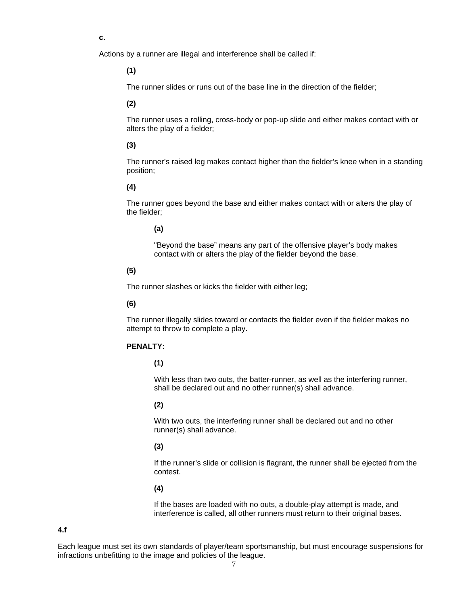**c.**

Actions by a runner are illegal and interference shall be called if:

**(1)**

The runner slides or runs out of the base line in the direction of the fielder;

#### **(2)**

The runner uses a rolling, cross-body or pop-up slide and either makes contact with or alters the play of a fielder;

#### **(3)**

The runner's raised leg makes contact higher than the fielder's knee when in a standing position;

#### **(4)**

The runner goes beyond the base and either makes contact with or alters the play of the fielder;

**(a)**

"Beyond the base" means any part of the offensive player's body makes contact with or alters the play of the fielder beyond the base.

#### **(5)**

The runner slashes or kicks the fielder with either leg;

#### **(6)**

The runner illegally slides toward or contacts the fielder even if the fielder makes no attempt to throw to complete a play.

### **PENALTY:**

**(1)**

With less than two outs, the batter-runner, as well as the interfering runner, shall be declared out and no other runner(s) shall advance.

#### **(2)**

With two outs, the interfering runner shall be declared out and no other runner(s) shall advance.

#### **(3)**

If the runner's slide or collision is flagrant, the runner shall be ejected from the contest.

### **(4)**

If the bases are loaded with no outs, a double-play attempt is made, and interference is called, all other runners must return to their original bases.

#### **4.f**

Each league must set its own standards of player/team sportsmanship, but must encourage suspensions for infractions unbefitting to the image and policies of the league.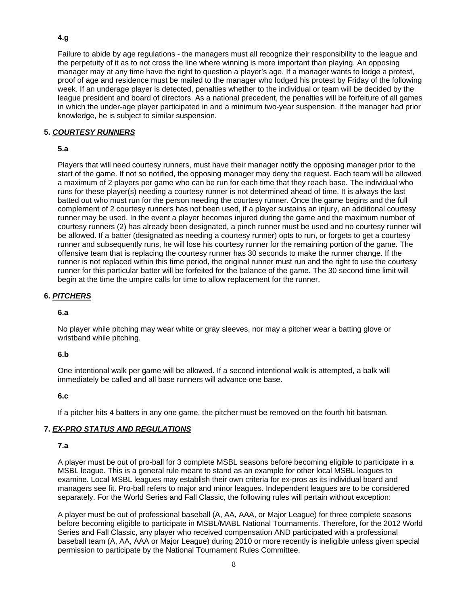# **4.g**

Failure to abide by age regulations - the managers must all recognize their responsibility to the league and the perpetuity of it as to not cross the line where winning is more important than playing. An opposing manager may at any time have the right to question a player's age. If a manager wants to lodge a protest, proof of age and residence must be mailed to the manager who lodged his protest by Friday of the following week. If an underage player is detected, penalties whether to the individual or team will be decided by the league president and board of directors. As a national precedent, the penalties will be forfeiture of all games in which the under-age player participated in and a minimum two-year suspension. If the manager had prior knowledge, he is subject to similar suspension.

### **5.** *COURTESY RUNNERS*

### **5.a**

Players that will need courtesy runners, must have their manager notify the opposing manager prior to the start of the game. If not so notified, the opposing manager may deny the request. Each team will be allowed a maximum of 2 players per game who can be run for each time that they reach base. The individual who runs for these player(s) needing a courtesy runner is not determined ahead of time. It is always the last batted out who must run for the person needing the courtesy runner. Once the game begins and the full complement of 2 courtesy runners has not been used, if a player sustains an injury, an additional courtesy runner may be used. In the event a player becomes injured during the game and the maximum number of courtesy runners (2) has already been designated, a pinch runner must be used and no courtesy runner will be allowed. If a batter (designated as needing a courtesy runner) opts to run, or forgets to get a courtesy runner and subsequently runs, he will lose his courtesy runner for the remaining portion of the game. The offensive team that is replacing the courtesy runner has 30 seconds to make the runner change. If the runner is not replaced within this time period, the original runner must run and the right to use the courtesy runner for this particular batter will be forfeited for the balance of the game. The 30 second time limit will begin at the time the umpire calls for time to allow replacement for the runner.

### **6.** *PITCHERS*

#### **6.a**

No player while pitching may wear white or gray sleeves, nor may a pitcher wear a batting glove or wristband while pitching.

#### **6.b**

One intentional walk per game will be allowed. If a second intentional walk is attempted, a balk will immediately be called and all base runners will advance one base.

#### **6.c**

If a pitcher hits 4 batters in any one game, the pitcher must be removed on the fourth hit batsman.

### **7.** *EX-PRO STATUS AND REGULATIONS*

#### **7.a**

A player must be out of pro-ball for 3 complete MSBL seasons before becoming eligible to participate in a MSBL league. This is a general rule meant to stand as an example for other local MSBL leagues to examine. Local MSBL leagues may establish their own criteria for ex-pros as its individual board and managers see fit. Pro-ball refers to major and minor leagues. Independent leagues are to be considered separately. For the World Series and Fall Classic, the following rules will pertain without exception:

A player must be out of professional baseball (A, AA, AAA, or Major League) for three complete seasons before becoming eligible to participate in MSBL/MABL National Tournaments. Therefore, for the 2012 World Series and Fall Classic, any player who received compensation AND participated with a professional baseball team (A, AA, AAA or Major League) during 2010 or more recently is ineligible unless given special permission to participate by the National Tournament Rules Committee.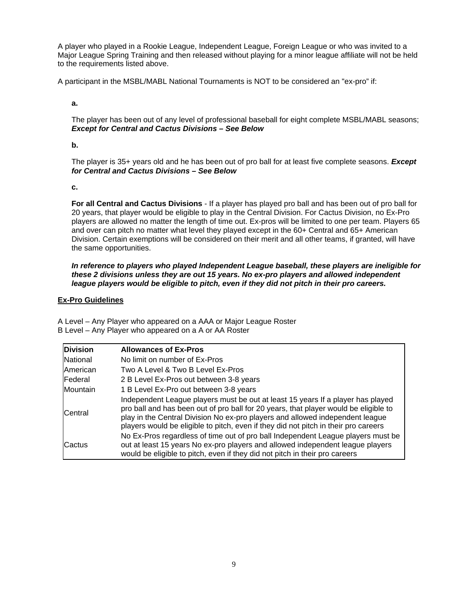A player who played in a Rookie League, Independent League, Foreign League or who was invited to a Major League Spring Training and then released without playing for a minor league affiliate will not be held to the requirements listed above.

A participant in the MSBL/MABL National Tournaments is NOT to be considered an "ex-pro" if:

**a.**

The player has been out of any level of professional baseball for eight complete MSBL/MABL seasons; *Except for Central and Cactus Divisions – See Below*

**b.**

The player is 35+ years old and he has been out of pro ball for at least five complete seasons. *Except for Central and Cactus Divisions – See Below*

**c.**

**For all Central and Cactus Divisions** - If a player has played pro ball and has been out of pro ball for 20 years, that player would be eligible to play in the Central Division. For Cactus Division, no Ex-Pro players are allowed no matter the length of time out. Ex-pros will be limited to one per team. Players 65 and over can pitch no matter what level they played except in the 60+ Central and 65+ American Division. Certain exemptions will be considered on their merit and all other teams, if granted, will have the same opportunities.

*In reference to players who played Independent League baseball, these players are ineligible for these 2 divisions unless they are out 15 years. No ex-pro players and allowed independent league players would be eligible to pitch, even if they did not pitch in their pro careers.*

#### **Ex-Pro Guidelines**

A Level – Any Player who appeared on a AAA or Major League Roster B Level – Any Player who appeared on a A or AA Roster

| <b>Division</b> | <b>Allowances of Ex-Pros</b>                                                                                                                                                                                                                                                                                                                    |
|-----------------|-------------------------------------------------------------------------------------------------------------------------------------------------------------------------------------------------------------------------------------------------------------------------------------------------------------------------------------------------|
| National        | No limit on number of Ex-Pros                                                                                                                                                                                                                                                                                                                   |
| <b>American</b> | Two A Level & Two B Level Ex-Pros                                                                                                                                                                                                                                                                                                               |
| Federal         | 2 B Level Ex-Pros out between 3-8 years                                                                                                                                                                                                                                                                                                         |
| Mountain        | 1 B Level Ex-Pro out between 3-8 years                                                                                                                                                                                                                                                                                                          |
| Central         | Independent League players must be out at least 15 years If a player has played<br>pro ball and has been out of pro ball for 20 years, that player would be eligible to<br>play in the Central Division No ex-pro players and allowed independent league<br>players would be eligible to pitch, even if they did not pitch in their pro careers |
| Cactus          | No Ex-Pros regardless of time out of pro ball Independent League players must be<br>out at least 15 years No ex-pro players and allowed independent league players<br>would be eligible to pitch, even if they did not pitch in their pro careers                                                                                               |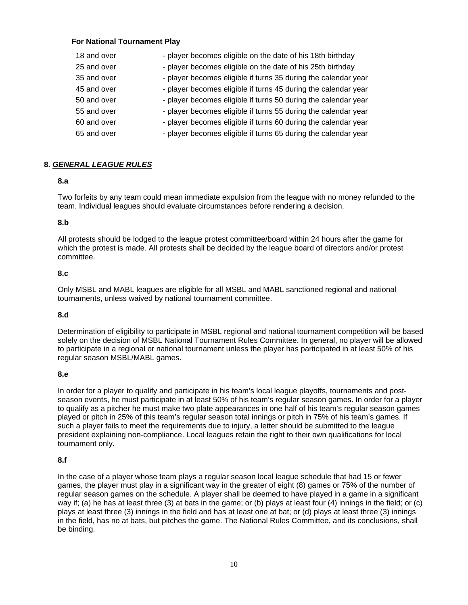### **For National Tournament Play**

| 18 and over | - player becomes eligible on the date of his 18th birthday     |
|-------------|----------------------------------------------------------------|
| 25 and over | - player becomes eligible on the date of his 25th birthday     |
| 35 and over | - player becomes eligible if turns 35 during the calendar year |
| 45 and over | - player becomes eligible if turns 45 during the calendar year |
| 50 and over | - player becomes eligible if turns 50 during the calendar year |
| 55 and over | - player becomes eligible if turns 55 during the calendar year |
| 60 and over | - player becomes eligible if turns 60 during the calendar year |
| 65 and over | - player becomes eligible if turns 65 during the calendar year |

### **8.** *GENERAL LEAGUE RULES*

### **8.a**

Two forfeits by any team could mean immediate expulsion from the league with no money refunded to the team. Individual leagues should evaluate circumstances before rendering a decision.

### **8.b**

All protests should be lodged to the league protest committee/board within 24 hours after the game for which the protest is made. All protests shall be decided by the league board of directors and/or protest committee.

#### **8.c**

Only MSBL and MABL leagues are eligible for all MSBL and MABL sanctioned regional and national tournaments, unless waived by national tournament committee.

#### **8.d**

Determination of eligibility to participate in MSBL regional and national tournament competition will be based solely on the decision of MSBL National Tournament Rules Committee. In general, no player will be allowed to participate in a regional or national tournament unless the player has participated in at least 50% of his regular season MSBL/MABL games.

#### **8.e**

In order for a player to qualify and participate in his team's local league playoffs, tournaments and postseason events, he must participate in at least 50% of his team's regular season games. In order for a player to qualify as a pitcher he must make two plate appearances in one half of his team's regular season games played or pitch in 25% of this team's regular season total innings or pitch in 75% of his team's games. If such a player fails to meet the requirements due to injury, a letter should be submitted to the league president explaining non-compliance. Local leagues retain the right to their own qualifications for local tournament only.

### **8.f**

In the case of a player whose team plays a regular season local league schedule that had 15 or fewer games, the player must play in a significant way in the greater of eight (8) games or 75% of the number of regular season games on the schedule. A player shall be deemed to have played in a game in a significant way if; (a) he has at least three (3) at bats in the game; or (b) plays at least four (4) innings in the field; or (c) plays at least three (3) innings in the field and has at least one at bat; or (d) plays at least three (3) innings in the field, has no at bats, but pitches the game. The National Rules Committee, and its conclusions, shall be binding.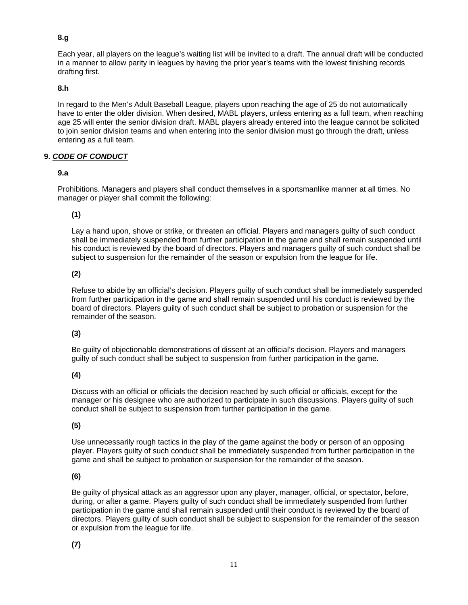# **8.g**

Each year, all players on the league's waiting list will be invited to a draft. The annual draft will be conducted in a manner to allow parity in leagues by having the prior year's teams with the lowest finishing records drafting first.

### **8.h**

In regard to the Men's Adult Baseball League, players upon reaching the age of 25 do not automatically have to enter the older division. When desired, MABL players, unless entering as a full team, when reaching age 25 will enter the senior division draft. MABL players already entered into the league cannot be solicited to join senior division teams and when entering into the senior division must go through the draft, unless entering as a full team.

### **9.** *CODE OF CONDUCT*

### **9.a**

Prohibitions. Managers and players shall conduct themselves in a sportsmanlike manner at all times. No manager or player shall commit the following:

# **(1)**

Lay a hand upon, shove or strike, or threaten an official. Players and managers guilty of such conduct shall be immediately suspended from further participation in the game and shall remain suspended until his conduct is reviewed by the board of directors. Players and managers guilty of such conduct shall be subject to suspension for the remainder of the season or expulsion from the league for life.

### **(2)**

Refuse to abide by an official's decision. Players guilty of such conduct shall be immediately suspended from further participation in the game and shall remain suspended until his conduct is reviewed by the board of directors. Players guilty of such conduct shall be subject to probation or suspension for the remainder of the season.

# **(3)**

Be guilty of objectionable demonstrations of dissent at an official's decision. Players and managers guilty of such conduct shall be subject to suspension from further participation in the game.

# **(4)**

Discuss with an official or officials the decision reached by such official or officials, except for the manager or his designee who are authorized to participate in such discussions. Players guilty of such conduct shall be subject to suspension from further participation in the game.

# **(5)**

Use unnecessarily rough tactics in the play of the game against the body or person of an opposing player. Players guilty of such conduct shall be immediately suspended from further participation in the game and shall be subject to probation or suspension for the remainder of the season.

# **(6)**

Be guilty of physical attack as an aggressor upon any player, manager, official, or spectator, before, during, or after a game. Players guilty of such conduct shall be immediately suspended from further participation in the game and shall remain suspended until their conduct is reviewed by the board of directors. Players guilty of such conduct shall be subject to suspension for the remainder of the season or expulsion from the league for life.